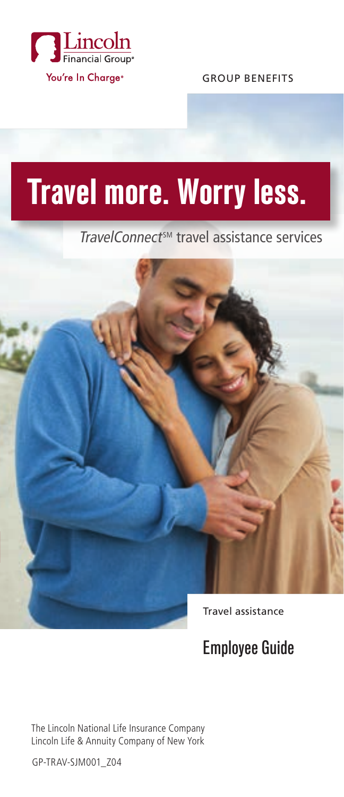

GROUP BENEFITS

# **Travel more. Worry less.**

TravelConnect<sup>sM</sup> travel assistance services



Employee Guide

The Lincoln National Life Insurance Company Lincoln Life & Annuity Company of New York

GP-TRAV-SJM001\_Z04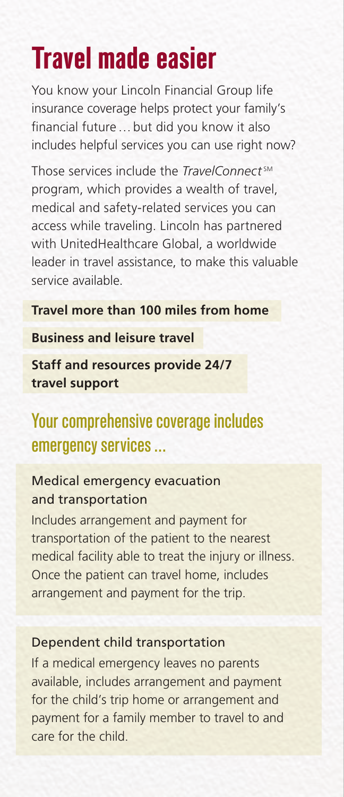## **Travel made easier**

You know your Lincoln Financial Group life insurance coverage helps protect your family's financial future…but did you know it also includes helpful services you can use right now?

Those services include the *TravelConnect*<sup>SM</sup> program, which provides a wealth of travel, medical and safety-related services you can access while traveling. Lincoln has partnered with UnitedHealthcare Global, a worldwide leader in travel assistance, to make this valuable service available.

#### **Travel more than 100 miles from home**

#### **Business and leisure travel**

**Staff and resources provide 24/7 travel support**

## Your comprehensive coverage includes emergency services…

#### Medical emergency evacuation and transportation

Includes arrangement and payment for transportation of the patient to the nearest medical facility able to treat the injury or illness. Once the patient can travel home, includes arrangement and payment for the trip.

#### Dependent child transportation

If a medical emergency leaves no parents available, includes arrangement and payment for the child's trip home or arrangement and payment for a family member to travel to and care for the child.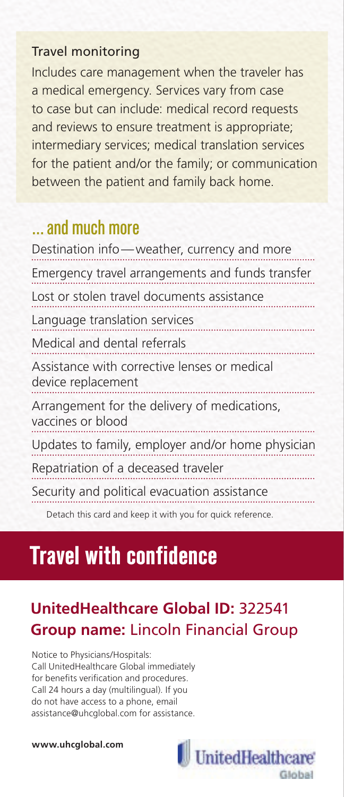#### Travel monitoring

Includes care management when the traveler has a medical emergency. Services vary from case to case but can include: medical record requests and reviews to ensure treatment is appropriate; intermediary services; medical translation services for the patient and/or the family; or communication between the patient and family back home.

### …and much more

| Destination info-weather, currency and more                        |
|--------------------------------------------------------------------|
| Emergency travel arrangements and funds transfer                   |
| Lost or stolen travel documents assistance                         |
| Language translation services                                      |
| Medical and dental referrals                                       |
| Assistance with corrective lenses or medical<br>device replacement |
| Arrangement for the delivery of medications,<br>vaccines or blood  |
| Updates to family, employer and/or home physician                  |
| Repatriation of a deceased traveler                                |
| Security and political evacuation assistance                       |
|                                                                    |

Detach this card and keep it with you for quick reference.

## **Travel with confidence**

### **UnitedHealthcare Global ID:** 322541 **Group name:** Lincoln Financial Group

Notice to Physicians/Hospitals: Call UnitedHealthcare Global immediately for benefits verification and procedures. Call 24 hours a day (multilingual). If you do not have access to a phone, email assistance@uhcglobal.com for assistance.

#### **www.uhcglobal.com**